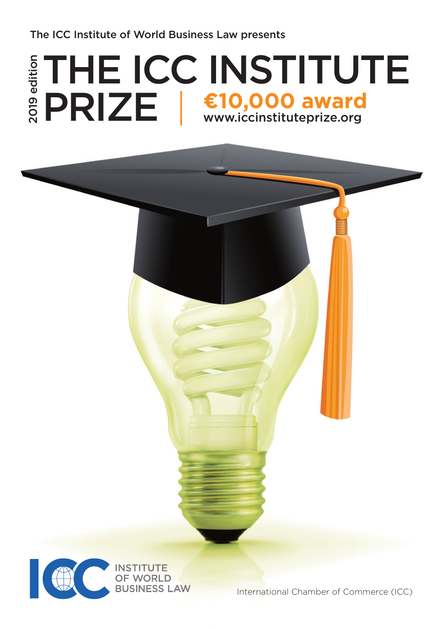The ICC Institute of World Business Law presents

# THE ICC INSTITUTE PRIZE | €10,000 award 2019 edition



International Chamber of Commerce (ICC)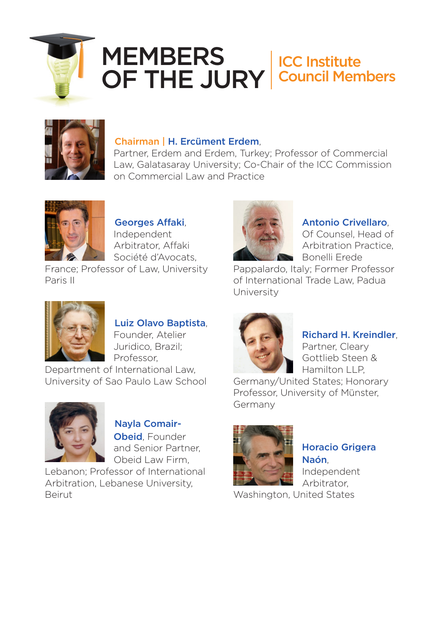

## **MEMBERS** OF THE JURY ICC Institute Council Members



#### Chairman | H. Ercüment Erdem,

Partner, Erdem and Erdem, Turkey; Professor of Commercial Law, Galatasaray University; Co-Chair of the ICC Commission on Commercial Law and Practice



 Georges Affaki, Independent Arbitrator, Affaki Société d'Avocats,

France; Professor of Law, University Paris II



#### Antonio Crivellaro,

Of Counsel, Head of Arbitration Practice, Bonelli Erede

Pappalardo, Italy; Former Professor of International Trade Law, Padua University



Luiz Olavo Baptista,

Founder, Atelier Juridico, Brazil; Professor,

Department of International Law, University of Sao Paulo Law School



 Nayla Comair-**Obeid**, Founder and Senior Partner, Obeid Law Firm,

Lebanon; Professor of International Arbitration, Lebanese University, Beirut



### Richard H. Kreindler,

Partner, Cleary Gottlieb Steen & Hamilton LLP,

Germany/United States; Honorary Professor, University of Münster, Germany



Horacio Grigera Naón, Independent

Arbitrator, Washington, United States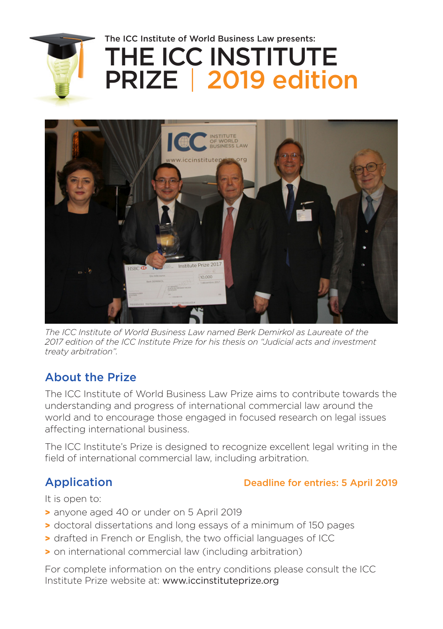

# THE ICC INSTITUTE PRIZE | 2019 edition The ICC Institute of World Business Law presents:



*The ICC Institute of World Business Law named Berk Demirkol as Laureate of the 2017 edition of the ICC Institute Prize for his thesis on "Judicial acts and investment treaty arbitration".*

# About the Prize

The ICC Institute of World Business Law Prize aims to contribute towards the understanding and progress of international commercial law around the world and to encourage those engaged in focused research on legal issues affecting international business.

The ICC Institute's Prize is designed to recognize excellent legal writing in the field of international commercial law, including arbitration.

## Application Deadline for entries: 5 April 2019

It is open to:

- > anyone aged 40 or under on 5 April 2019
- > doctoral dissertations and long essays of a minimum of 150 pages
- > drafted in French or English, the two official languages of ICC
- > on international commercial law (including arbitration)

For complete information on the entry conditions please consult the ICC Institute Prize website at: [www.iccinstituteprize.org](http://www.iccinstituteprize.org)